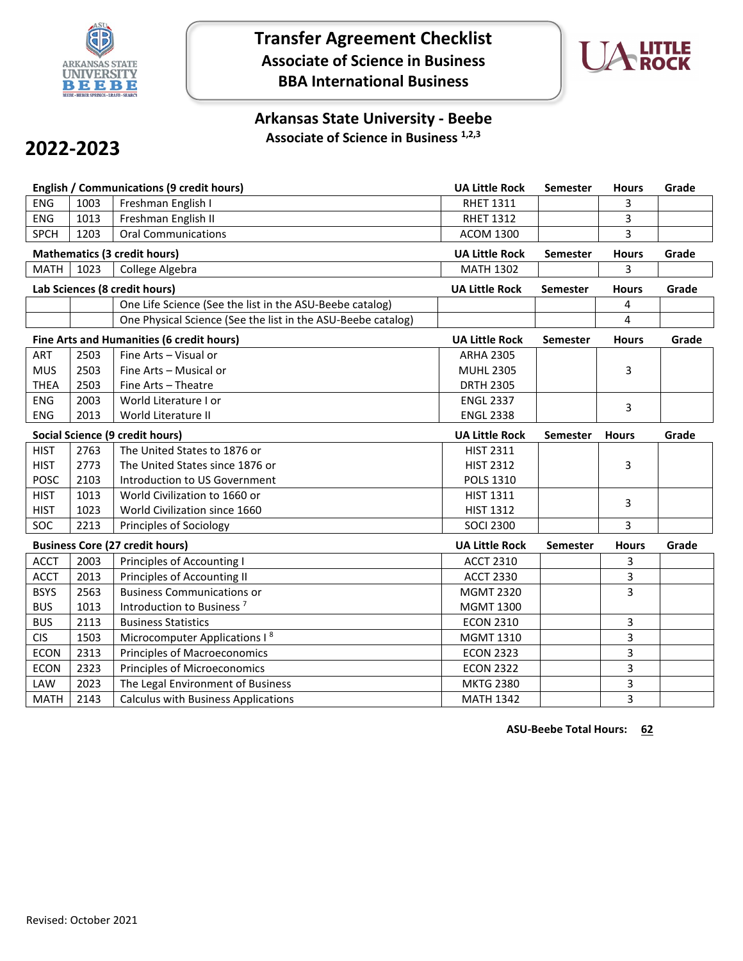

**Transfer Agreement Checklist Associate of Science in Business BBA International Business**



## **Arkansas State University - Beebe Associate of Science in Business 1,2,3**

## **2022-2023**

|             |                                        | <b>English / Communications (9 credit hours)</b>             | <b>UA Little Rock</b>                                    | Semester        | <b>Hours</b> | Grade |
|-------------|----------------------------------------|--------------------------------------------------------------|----------------------------------------------------------|-----------------|--------------|-------|
| <b>ENG</b>  | 1003                                   | Freshman English I                                           | <b>RHET 1311</b>                                         |                 | 3            |       |
| <b>ENG</b>  | 1013                                   | Freshman English II                                          | <b>RHET 1312</b>                                         |                 | 3            |       |
| <b>SPCH</b> | 1203                                   | <b>Oral Communications</b>                                   | <b>ACOM 1300</b>                                         |                 | 3            |       |
|             |                                        | <b>Mathematics (3 credit hours)</b>                          | <b>UA Little Rock</b>                                    | <b>Semester</b> | <b>Hours</b> | Grade |
| <b>MATH</b> | 1023                                   | College Algebra                                              | <b>MATH 1302</b>                                         |                 | 3            |       |
|             |                                        | Lab Sciences (8 credit hours)                                | <b>UA Little Rock</b>                                    | <b>Semester</b> | <b>Hours</b> | Grade |
|             |                                        | One Life Science (See the list in the ASU-Beebe catalog)     |                                                          |                 | 4            |       |
|             |                                        | One Physical Science (See the list in the ASU-Beebe catalog) |                                                          |                 | 4            |       |
|             |                                        | Fine Arts and Humanities (6 credit hours)                    | <b>UA Little Rock</b>                                    | <b>Semester</b> | <b>Hours</b> | Grade |
| <b>ART</b>  | 2503                                   | Fine Arts - Visual or                                        | <b>ARHA 2305</b>                                         |                 |              |       |
| <b>MUS</b>  | 2503                                   | Fine Arts - Musical or                                       | <b>MUHL 2305</b>                                         |                 | 3            |       |
| <b>THEA</b> | 2503                                   | Fine Arts - Theatre                                          | <b>DRTH 2305</b>                                         |                 |              |       |
| <b>ENG</b>  | 2003                                   | World Literature I or                                        | <b>ENGL 2337</b>                                         |                 | 3            |       |
| <b>ENG</b>  | 2013                                   | World Literature II                                          | <b>ENGL 2338</b>                                         |                 |              |       |
|             | <b>Social Science (9 credit hours)</b> |                                                              | <b>UA Little Rock</b>                                    | Semester        | <b>Hours</b> | Grade |
| <b>HIST</b> | 2763                                   | The United States to 1876 or                                 | <b>HIST 2311</b>                                         |                 |              |       |
| <b>HIST</b> | 2773                                   | The United States since 1876 or                              | <b>HIST 2312</b>                                         |                 | 3            |       |
| <b>POSC</b> | 2103                                   | Introduction to US Government                                | <b>POLS 1310</b>                                         |                 |              |       |
| <b>HIST</b> | 1013                                   | World Civilization to 1660 or                                | <b>HIST 1311</b>                                         |                 | 3            |       |
| <b>HIST</b> | 1023                                   | World Civilization since 1660                                | <b>HIST 1312</b>                                         |                 |              |       |
| SOC         | 2213                                   | Principles of Sociology                                      | <b>SOCI 2300</b>                                         |                 | 3            |       |
|             |                                        | <b>Business Core (27 credit hours)</b>                       | <b>UA Little Rock</b><br><b>Hours</b><br><b>Semester</b> |                 | Grade        |       |
| <b>ACCT</b> | 2003                                   | Principles of Accounting I                                   | <b>ACCT 2310</b>                                         |                 | 3            |       |
| <b>ACCT</b> | 2013                                   | Principles of Accounting II                                  | <b>ACCT 2330</b>                                         |                 | 3            |       |
| <b>BSYS</b> | 2563                                   | <b>Business Communications or</b>                            | <b>MGMT 2320</b>                                         |                 | 3            |       |
| <b>BUS</b>  | 1013                                   | Introduction to Business <sup>7</sup>                        | <b>MGMT 1300</b>                                         |                 |              |       |
| <b>BUS</b>  | 2113                                   | <b>Business Statistics</b>                                   | <b>ECON 2310</b>                                         |                 | 3            |       |
| <b>CIS</b>  | 1503                                   | Microcomputer Applications I <sup>8</sup>                    | <b>MGMT 1310</b>                                         |                 | 3            |       |
| <b>ECON</b> | 2313                                   | <b>Principles of Macroeconomics</b>                          | <b>ECON 2323</b>                                         |                 | 3            |       |
| <b>ECON</b> | 2323                                   | <b>Principles of Microeconomics</b>                          | <b>ECON 2322</b>                                         |                 | 3            |       |
| LAW         | 2023                                   | The Legal Environment of Business                            | <b>MKTG 2380</b>                                         |                 | 3            |       |
| <b>MATH</b> | 2143                                   | <b>Calculus with Business Applications</b>                   | <b>MATH 1342</b>                                         |                 | 3            |       |

**ASU-Beebe Total Hours: 62**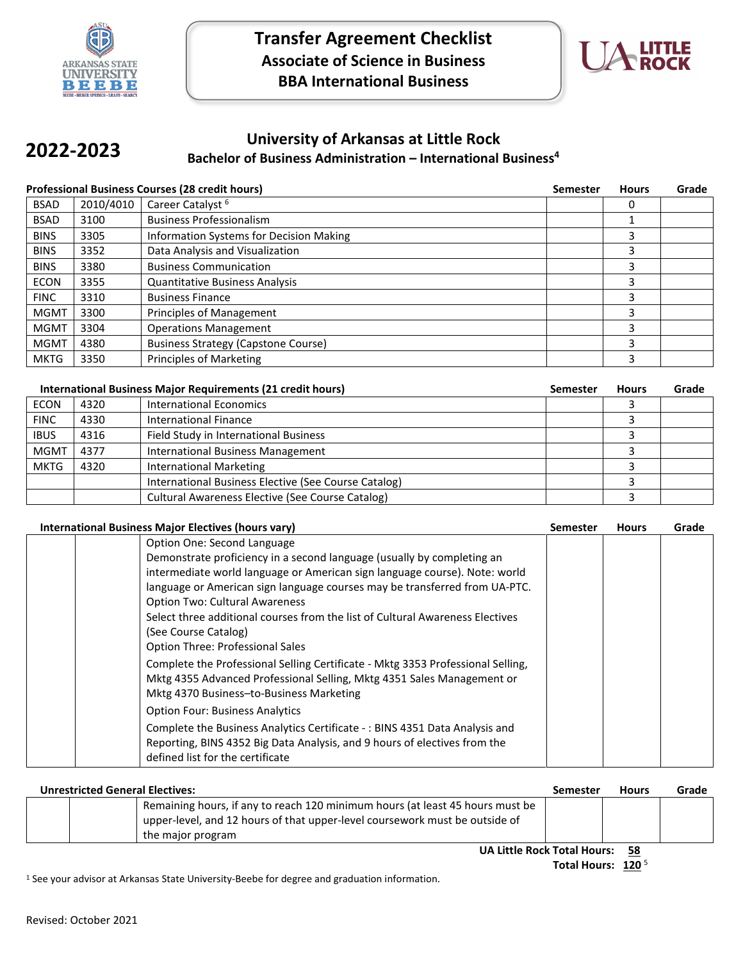



## **University of Arkansas at Little Rock Bachelor of Business Administration – International Business4 2022-2023**

|             |           | <b>Professional Business Courses (28 credit hours)</b> | <b>Semester</b> | <b>Hours</b> | Grade |
|-------------|-----------|--------------------------------------------------------|-----------------|--------------|-------|
| <b>BSAD</b> | 2010/4010 | Career Catalyst <sup>6</sup>                           |                 | 0            |       |
| <b>BSAD</b> | 3100      | <b>Business Professionalism</b>                        |                 |              |       |
| <b>BINS</b> | 3305      | Information Systems for Decision Making                |                 | 3            |       |
| <b>BINS</b> | 3352      | Data Analysis and Visualization                        |                 | 3            |       |
| <b>BINS</b> | 3380      | <b>Business Communication</b>                          |                 | 3            |       |
| <b>ECON</b> | 3355      | <b>Quantitative Business Analysis</b>                  |                 | 3            |       |
| <b>FINC</b> | 3310      | <b>Business Finance</b>                                |                 | 3            |       |
| <b>MGMT</b> | 3300      | Principles of Management                               |                 | 3            |       |
| <b>MGMT</b> | 3304      | <b>Operations Management</b>                           |                 | 3            |       |
| <b>MGMT</b> | 4380      | <b>Business Strategy (Capstone Course)</b>             |                 | 3            |       |
| <b>MKTG</b> | 3350      | Principles of Marketing                                |                 | 3            |       |

|             |      | International Business Major Requirements (21 credit hours) | Semester | <b>Hours</b> | Grade |
|-------------|------|-------------------------------------------------------------|----------|--------------|-------|
| <b>ECON</b> | 4320 | <b>International Economics</b>                              |          |              |       |
| <b>FINC</b> | 4330 | International Finance                                       |          |              |       |
| <b>IBUS</b> | 4316 | Field Study in International Business                       |          |              |       |
| <b>MGMT</b> | 4377 | <b>International Business Management</b>                    |          |              |       |
| <b>MKTG</b> | 4320 | <b>International Marketing</b>                              |          |              |       |
|             |      | International Business Elective (See Course Catalog)        |          |              |       |
|             |      | Cultural Awareness Elective (See Course Catalog)            |          |              |       |

| <b>International Business Major Electives (hours vary)</b> |                                                                                 | Semester | <b>Hours</b> | Grade |
|------------------------------------------------------------|---------------------------------------------------------------------------------|----------|--------------|-------|
|                                                            | Option One: Second Language                                                     |          |              |       |
|                                                            | Demonstrate proficiency in a second language (usually by completing an          |          |              |       |
|                                                            | intermediate world language or American sign language course). Note: world      |          |              |       |
|                                                            | language or American sign language courses may be transferred from UA-PTC.      |          |              |       |
|                                                            | <b>Option Two: Cultural Awareness</b>                                           |          |              |       |
|                                                            | Select three additional courses from the list of Cultural Awareness Electives   |          |              |       |
|                                                            | (See Course Catalog)                                                            |          |              |       |
|                                                            | <b>Option Three: Professional Sales</b>                                         |          |              |       |
|                                                            | Complete the Professional Selling Certificate - Mktg 3353 Professional Selling, |          |              |       |
|                                                            | Mktg 4355 Advanced Professional Selling, Mktg 4351 Sales Management or          |          |              |       |
|                                                            | Mktg 4370 Business-to-Business Marketing                                        |          |              |       |
|                                                            | <b>Option Four: Business Analytics</b>                                          |          |              |       |
|                                                            | Complete the Business Analytics Certificate -: BINS 4351 Data Analysis and      |          |              |       |
|                                                            | Reporting, BINS 4352 Big Data Analysis, and 9 hours of electives from the       |          |              |       |
|                                                            | defined list for the certificate                                                |          |              |       |

| <b>Unrestricted General Electives:</b> |                                                                               | Semester | <b>Hours</b> | Grade |  |
|----------------------------------------|-------------------------------------------------------------------------------|----------|--------------|-------|--|
|                                        | Remaining hours, if any to reach 120 minimum hours (at least 45 hours must be |          |              |       |  |
|                                        | upper-level, and 12 hours of that upper-level coursework must be outside of   |          |              |       |  |
|                                        | the major program                                                             |          |              |       |  |
|                                        |                                                                               |          |              |       |  |

**UA Little Rock Total Hours: 58**

1 See your advisor at Arkansas State University-Beebe for degree and graduation information.